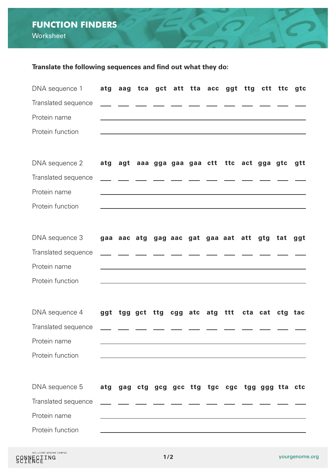## **FUNCTION FINDERS Worksheet**

## **Translate the following sequences and find out what they do:**

| DNA sequence 1      | atg |                                                                                                                                                                                                                               |                                                                                                                      |  | aag tca gct att tta acc ggt ttg ctt ttc gtc                                                                      |         |     |
|---------------------|-----|-------------------------------------------------------------------------------------------------------------------------------------------------------------------------------------------------------------------------------|----------------------------------------------------------------------------------------------------------------------|--|------------------------------------------------------------------------------------------------------------------|---------|-----|
| Translated sequence |     |                                                                                                                                                                                                                               |                                                                                                                      |  |                                                                                                                  |         |     |
| Protein name        |     | the control of the control of the control of the control of the control of the control of the control of the control of the control of the control of the control of the control of the control of the control of the control |                                                                                                                      |  |                                                                                                                  |         |     |
| Protein function    |     |                                                                                                                                                                                                                               |                                                                                                                      |  | ,我们也不会有什么。""我们的人,我们也不会有什么?""我们的人,我们也不会有什么?""我们的人,我们也不会有什么?""我们的人,我们也不会有什么?""我们的人                                 |         |     |
|                     |     |                                                                                                                                                                                                                               |                                                                                                                      |  |                                                                                                                  |         |     |
| DNA sequence 2      | atg |                                                                                                                                                                                                                               |                                                                                                                      |  | agt aaa gga gaa gaa ctt ttc act gga gtc                                                                          |         | gtt |
| Translated sequence |     |                                                                                                                                                                                                                               |                                                                                                                      |  |                                                                                                                  |         |     |
| Protein name        |     | the control of the control of the control of the control of the control of the control of                                                                                                                                     |                                                                                                                      |  |                                                                                                                  |         |     |
| Protein function    |     |                                                                                                                                                                                                                               |                                                                                                                      |  | and the control of the control of the control of the control of the control of the control of the control of the |         |     |
|                     |     |                                                                                                                                                                                                                               |                                                                                                                      |  |                                                                                                                  |         |     |
| DNA sequence 3      |     |                                                                                                                                                                                                                               |                                                                                                                      |  | gaa aac atg gag aac gat gaa aat att                                                                              | gtg tat | ggt |
| Translated sequence |     |                                                                                                                                                                                                                               |                                                                                                                      |  |                                                                                                                  |         |     |
| Protein name        |     |                                                                                                                                                                                                                               |                                                                                                                      |  |                                                                                                                  |         |     |
| Protein function    |     |                                                                                                                                                                                                                               |                                                                                                                      |  |                                                                                                                  |         |     |
|                     |     |                                                                                                                                                                                                                               |                                                                                                                      |  |                                                                                                                  |         |     |
| DNA sequence 4      |     | ggt tgg gct ttg                                                                                                                                                                                                               |                                                                                                                      |  | cgg atc atg ttt cta cat ctg tac                                                                                  |         |     |
| Translated sequence |     |                                                                                                                                                                                                                               |                                                                                                                      |  |                                                                                                                  |         |     |
| Protein name        |     |                                                                                                                                                                                                                               |                                                                                                                      |  |                                                                                                                  |         |     |
| Protein function    |     |                                                                                                                                                                                                                               |                                                                                                                      |  |                                                                                                                  |         |     |
|                     |     |                                                                                                                                                                                                                               |                                                                                                                      |  |                                                                                                                  |         |     |
| DNA sequence 5      | atg | gag                                                                                                                                                                                                                           | ctg gcg gcc ttg                                                                                                      |  | tgc cgc tgg ggg tta ctc                                                                                          |         |     |
| Translated sequence |     |                                                                                                                                                                                                                               |                                                                                                                      |  |                                                                                                                  |         |     |
| Protein name        |     |                                                                                                                                                                                                                               |                                                                                                                      |  |                                                                                                                  |         |     |
| Protein function    |     |                                                                                                                                                                                                                               | <u> 1980 - Johann Barn, amerikan bestemanns og forskellige og det forskellige og det forskellige og det forskell</u> |  |                                                                                                                  |         |     |
|                     |     |                                                                                                                                                                                                                               |                                                                                                                      |  |                                                                                                                  |         |     |